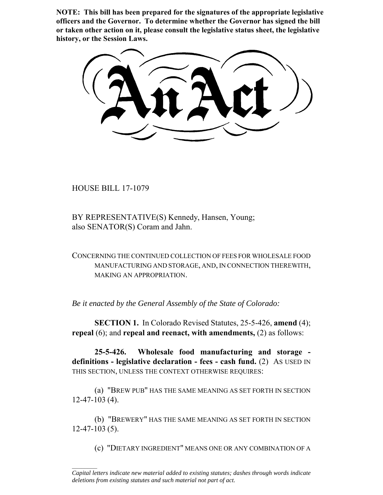**NOTE: This bill has been prepared for the signatures of the appropriate legislative officers and the Governor. To determine whether the Governor has signed the bill or taken other action on it, please consult the legislative status sheet, the legislative history, or the Session Laws.**

HOUSE BILL 17-1079

 $\frac{1}{2}$ 

BY REPRESENTATIVE(S) Kennedy, Hansen, Young; also SENATOR(S) Coram and Jahn.

CONCERNING THE CONTINUED COLLECTION OF FEES FOR WHOLESALE FOOD MANUFACTURING AND STORAGE, AND, IN CONNECTION THEREWITH, MAKING AN APPROPRIATION.

*Be it enacted by the General Assembly of the State of Colorado:*

**SECTION 1.** In Colorado Revised Statutes, 25-5-426, **amend** (4); **repeal** (6); and **repeal and reenact, with amendments,** (2) as follows:

**25-5-426. Wholesale food manufacturing and storage definitions - legislative declaration - fees - cash fund.** (2) AS USED IN THIS SECTION, UNLESS THE CONTEXT OTHERWISE REQUIRES:

(a) "BREW PUB" HAS THE SAME MEANING AS SET FORTH IN SECTION 12-47-103 (4).

(b) "BREWERY" HAS THE SAME MEANING AS SET FORTH IN SECTION 12-47-103 (5).

(c) "DIETARY INGREDIENT" MEANS ONE OR ANY COMBINATION OF A

*Capital letters indicate new material added to existing statutes; dashes through words indicate deletions from existing statutes and such material not part of act.*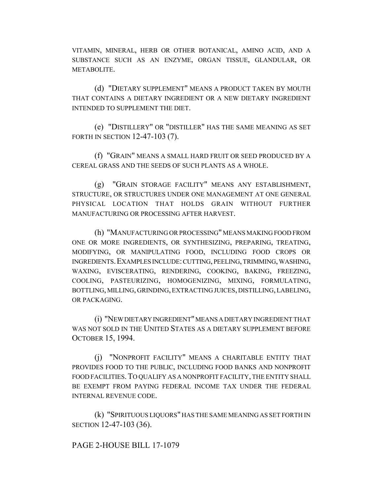VITAMIN, MINERAL, HERB OR OTHER BOTANICAL, AMINO ACID, AND A SUBSTANCE SUCH AS AN ENZYME, ORGAN TISSUE, GLANDULAR, OR METABOLITE.

(d) "DIETARY SUPPLEMENT" MEANS A PRODUCT TAKEN BY MOUTH THAT CONTAINS A DIETARY INGREDIENT OR A NEW DIETARY INGREDIENT INTENDED TO SUPPLEMENT THE DIET.

(e) "DISTILLERY" OR "DISTILLER" HAS THE SAME MEANING AS SET FORTH IN SECTION 12-47-103 (7).

(f) "GRAIN" MEANS A SMALL HARD FRUIT OR SEED PRODUCED BY A CEREAL GRASS AND THE SEEDS OF SUCH PLANTS AS A WHOLE.

(g) "GRAIN STORAGE FACILITY" MEANS ANY ESTABLISHMENT, STRUCTURE, OR STRUCTURES UNDER ONE MANAGEMENT AT ONE GENERAL PHYSICAL LOCATION THAT HOLDS GRAIN WITHOUT FURTHER MANUFACTURING OR PROCESSING AFTER HARVEST.

(h) "MANUFACTURING OR PROCESSING" MEANS MAKING FOOD FROM ONE OR MORE INGREDIENTS, OR SYNTHESIZING, PREPARING, TREATING, MODIFYING, OR MANIPULATING FOOD, INCLUDING FOOD CROPS OR INGREDIENTS.EXAMPLES INCLUDE: CUTTING, PEELING, TRIMMING, WASHING, WAXING, EVISCERATING, RENDERING, COOKING, BAKING, FREEZING, COOLING, PASTEURIZING, HOMOGENIZING, MIXING, FORMULATING, BOTTLING, MILLING, GRINDING, EXTRACTING JUICES, DISTILLING, LABELING, OR PACKAGING.

(i) "NEW DIETARY INGREDIENT" MEANS A DIETARY INGREDIENT THAT WAS NOT SOLD IN THE UNITED STATES AS A DIETARY SUPPLEMENT BEFORE OCTOBER 15, 1994.

(j) "NONPROFIT FACILITY" MEANS A CHARITABLE ENTITY THAT PROVIDES FOOD TO THE PUBLIC, INCLUDING FOOD BANKS AND NONPROFIT FOOD FACILITIES.TO QUALIFY AS A NONPROFIT FACILITY, THE ENTITY SHALL BE EXEMPT FROM PAYING FEDERAL INCOME TAX UNDER THE FEDERAL INTERNAL REVENUE CODE.

(k) "SPIRITUOUS LIQUORS" HAS THE SAME MEANING AS SET FORTH IN SECTION 12-47-103 (36).

## PAGE 2-HOUSE BILL 17-1079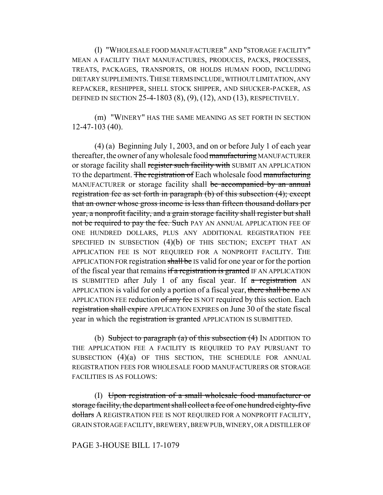(l) "WHOLESALE FOOD MANUFACTURER" AND "STORAGE FACILITY" MEAN A FACILITY THAT MANUFACTURES, PRODUCES, PACKS, PROCESSES, TREATS, PACKAGES, TRANSPORTS, OR HOLDS HUMAN FOOD, INCLUDING DIETARY SUPPLEMENTS.THESE TERMS INCLUDE, WITHOUT LIMITATION, ANY REPACKER, RESHIPPER, SHELL STOCK SHIPPER, AND SHUCKER-PACKER, AS DEFINED IN SECTION 25-4-1803 (8), (9), (12), AND (13), RESPECTIVELY.

(m) "WINERY" HAS THE SAME MEANING AS SET FORTH IN SECTION 12-47-103 (40).

(4) (a) Beginning July 1, 2003, and on or before July 1 of each year thereafter, the owner of any wholesale food manufacturing MANUFACTURER or storage facility shall register such facility with SUBMIT AN APPLICATION TO the department. The registration of Each wholesale food manufacturing MANUFACTURER or storage facility shall be accompanied by an annual registration fee as set forth in paragraph (b) of this subsection (4); except that an owner whose gross income is less than fifteen thousand dollars per year, a nonprofit facility, and a grain storage facility shall register but shall not be required to pay the fee. Such PAY AN ANNUAL APPLICATION FEE OF ONE HUNDRED DOLLARS, PLUS ANY ADDITIONAL REGISTRATION FEE SPECIFIED IN SUBSECTION (4)(b) OF THIS SECTION; EXCEPT THAT AN APPLICATION FEE IS NOT REQUIRED FOR A NONPROFIT FACILITY. THE APPLICATION FOR registration shall be IS valid for one year or for the portion of the fiscal year that remains if a registration is granted IF AN APPLICATION IS SUBMITTED after July 1 of any fiscal year. If  $\alpha$  registration AN APPLICATION is valid for only a portion of a fiscal year, there shall be no AN APPLICATION FEE reduction of any fee IS NOT required by this section. Each registration shall expire APPLICATION EXPIRES on June 30 of the state fiscal year in which the registration is granted APPLICATION IS SUBMITTED.

(b) Subject to paragraph (a) of this subsection  $(4)$  IN ADDITION TO THE APPLICATION FEE A FACILITY IS REQUIRED TO PAY PURSUANT TO SUBSECTION  $(4)(a)$  OF THIS SECTION, THE SCHEDULE FOR ANNUAL REGISTRATION FEES FOR WHOLESALE FOOD MANUFACTURERS OR STORAGE FACILITIES IS AS FOLLOWS:

(I) Upon registration of a small wholesale food manufacturer or storage facility, the department shall collect a fee of one hundred eighty-five dollars A REGISTRATION FEE IS NOT REQUIRED FOR A NONPROFIT FACILITY, GRAIN STORAGE FACILITY, BREWERY, BREW PUB, WINERY, OR A DISTILLER OF

## PAGE 3-HOUSE BILL 17-1079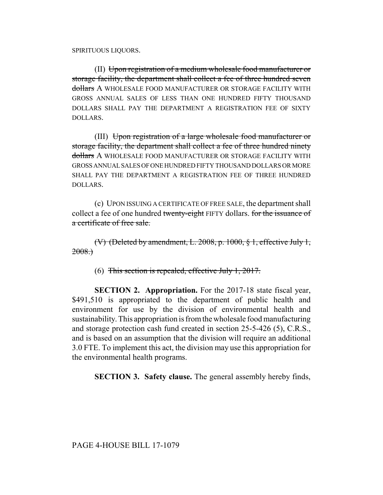SPIRITUOUS LIQUORS.

(II) Upon registration of a medium wholesale food manufacturer or storage facility, the department shall collect a fee of three hundred seven dollars A WHOLESALE FOOD MANUFACTURER OR STORAGE FACILITY WITH GROSS ANNUAL SALES OF LESS THAN ONE HUNDRED FIFTY THOUSAND DOLLARS SHALL PAY THE DEPARTMENT A REGISTRATION FEE OF SIXTY DOLLARS.

(III) Upon registration of a large wholesale food manufacturer or storage facility, the department shall collect a fee of three hundred ninety dollars A WHOLESALE FOOD MANUFACTURER OR STORAGE FACILITY WITH GROSS ANNUAL SALES OF ONE HUNDRED FIFTY THOUSAND DOLLARS OR MORE SHALL PAY THE DEPARTMENT A REGISTRATION FEE OF THREE HUNDRED DOLLARS.

(c) UPON ISSUING A CERTIFICATE OF FREE SALE, the department shall collect a fee of one hundred twenty-eight FIFTY dollars. for the issuance of a certificate of free sale.

(V) (Deleted by amendment, L. 2008, p. 1000, § 1, effective July 1, 2008.)

(6) This section is repealed, effective July 1, 2017.

**SECTION 2. Appropriation.** For the 2017-18 state fiscal year, \$491,510 is appropriated to the department of public health and environment for use by the division of environmental health and sustainability. This appropriation is from the wholesale food manufacturing and storage protection cash fund created in section 25-5-426 (5), C.R.S., and is based on an assumption that the division will require an additional 3.0 FTE. To implement this act, the division may use this appropriation for the environmental health programs.

**SECTION 3. Safety clause.** The general assembly hereby finds,